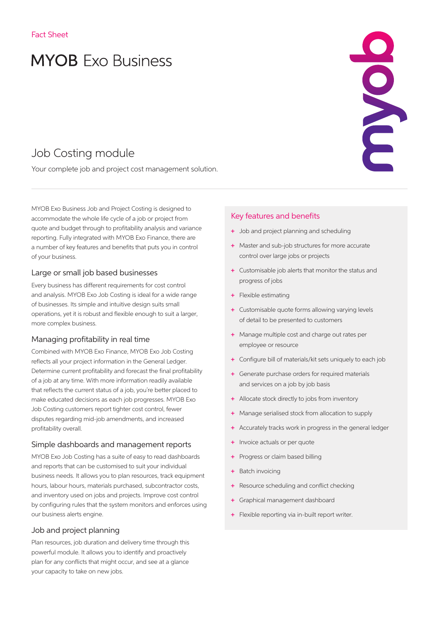# **MYOB** Exo Business

# Job Costing module

Your complete job and project cost management solution.

MYOB Exo Business Job and Project Costing is designed to accommodate the whole life cycle of a job or project from quote and budget through to profitability analysis and variance reporting. Fully integrated with MYOB Exo Finance, there are a number of key features and benefits that puts you in control of your business.

#### Large or small job based businesses

Every business has different requirements for cost control and analysis. MYOB Exo Job Costing is ideal for a wide range of businesses. Its simple and intuitive design suits small operations, yet it is robust and flexible enough to suit a larger, more complex business.

## Managing profitability in real time

Combined with MYOB Exo Finance, MYOB Exo Job Costing reflects all your project information in the General Ledger. Determine current profitability and forecast the final profitability of a job at any time. With more information readily available that reflects the current status of a job, you're better placed to make educated decisions as each job progresses. MYOB Exo Job Costing customers report tighter cost control, fewer disputes regarding mid-job amendments, and increased profitability overall.

#### Simple dashboards and management reports

MYOB Exo Job Costing has a suite of easy to read dashboards and reports that can be customised to suit your individual business needs. It allows you to plan resources, track equipment hours, labour hours, materials purchased, subcontractor costs, and inventory used on jobs and projects. Improve cost control by configuring rules that the system monitors and enforces using our business alerts engine.

#### Job and project planning

Plan resources, job duration and delivery time through this powerful module. It allows you to identify and proactively plan for any conflicts that might occur, and see at a glance your capacity to take on new jobs.

# Key features and benefits

- + Job and project planning and scheduling
- + Master and sub-job structures for more accurate control over large jobs or projects

- + Customisable job alerts that monitor the status and progress of jobs
- + Flexible estimating
- + Customisable quote forms allowing varying levels of detail to be presented to customers
- + Manage multiple cost and charge out rates per employee or resource
- + Configure bill of materials/kit sets uniquely to each job
- + Generate purchase orders for required materials and services on a job by job basis
- + Allocate stock directly to jobs from inventory
- Manage serialised stock from allocation to supply
- + Accurately tracks work in progress in the general ledger
- + Invoice actuals or per quote
- + Progress or claim based billing
- Batch invoicing
- Resource scheduling and conflict checking
- + Graphical management dashboard
- + Flexible reporting via in-built report writer.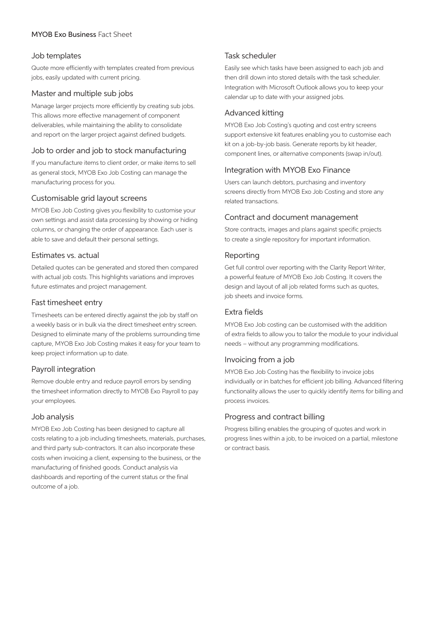## MYOB Exo Business Fact Sheet

#### Job templates

Quote more efficiently with templates created from previous jobs, easily updated with current pricing.

#### Master and multiple sub jobs

Manage larger projects more efficiently by creating sub jobs. This allows more effective management of component deliverables, while maintaining the ability to consolidate and report on the larger project against defined budgets.

#### Job to order and job to stock manufacturing

If you manufacture items to client order, or make items to sell as general stock, MYOB Exo Job Costing can manage the manufacturing process for you.

#### Customisable grid layout screens

MYOB Exo Job Costing gives you flexibility to customise your own settings and assist data processing by showing or hiding columns, or changing the order of appearance. Each user is able to save and default their personal settings.

#### Estimates vs. actual

Detailed quotes can be generated and stored then compared with actual job costs. This highlights variations and improves future estimates and project management.

#### Fast timesheet entry

Timesheets can be entered directly against the job by staff on a weekly basis or in bulk via the direct timesheet entry screen. Designed to eliminate many of the problems surrounding time capture, MYOB Exo Job Costing makes it easy for your team to keep project information up to date.

#### Payroll integration

Remove double entry and reduce payroll errors by sending the timesheet information directly to MYOB Exo Payroll to pay your employees.

#### Job analysis

MYOB Exo Job Costing has been designed to capture all costs relating to a job including timesheets, materials, purchases, and third party sub-contractors. It can also incorporate these costs when invoicing a client, expensing to the business, or the manufacturing of finished goods. Conduct analysis via dashboards and reporting of the current status or the final outcome of a job.

#### Task scheduler

Easily see which tasks have been assigned to each job and then drill down into stored details with the task scheduler. Integration with Microsoft Outlook allows you to keep your calendar up to date with your assigned jobs.

#### Advanced kitting

MYOB Exo Job Costing's quoting and cost entry screens support extensive kit features enabling you to customise each kit on a job-by-job basis. Generate reports by kit header, component lines, or alternative components (swap in/out).

#### Integration with MYOB Exo Finance

Users can launch debtors, purchasing and inventory screens directly from MYOB Exo Job Costing and store any related transactions.

#### Contract and document management

Store contracts, images and plans against specific projects to create a single repository for important information.

#### Reporting

Get full control over reporting with the Clarity Report Writer, a powerful feature of MYOB Exo Job Costing. It covers the design and layout of all job related forms such as quotes, job sheets and invoice forms.

#### Extra fields

MYOB Exo Job costing can be customised with the addition of extra fields to allow you to tailor the module to your individual needs – without any programming modifications.

#### Invoicing from a job

MYOB Exo Job Costing has the flexibility to invoice jobs individually or in batches for efficient job billing. Advanced filtering functionality allows the user to quickly identify items for billing and process invoices.

#### Progress and contract billing

Progress billing enables the grouping of quotes and work in progress lines within a job, to be invoiced on a partial, milestone or contract basis.